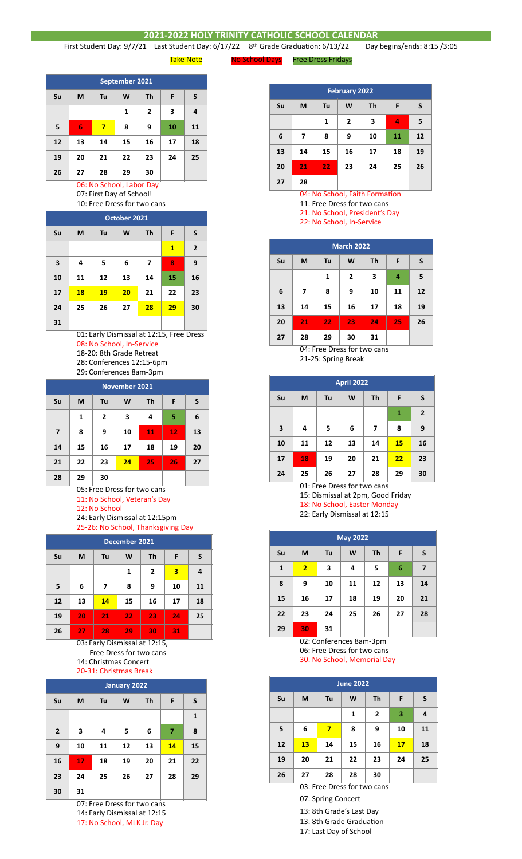## **2021-2022 HOLY TRINITY CATHOLIC SCHOOL CALENDAR**<br>1 Last Student Day: 6/17/22 8<sup>th</sup> Grade Graduation: 6/13/22 Day

First Student Day:  $9/7/21$  Last Student Day:  $6/17/22$  8<sup>th</sup> Grade Graduation:  $6/13/22$  Day begins/ends: 8:15 /3:05

Take Note **No School Days** Free Dress Fridays

**February 2022 Su M Tu W Th F S 1 2 3 4 5 6 7 8 9 10 11 12 13 14 15 16 17 18 19 20 21 22 23 24 25 26 27 28**

04: No School, Faith Formation

11: Free Dress for two cans 21: No School, President's Day

22: No School, In-Service

| <b>March 2022</b> |    |    |                |    |    |    |  |  |  |
|-------------------|----|----|----------------|----|----|----|--|--|--|
| Su                | M  | S  |                |    |    |    |  |  |  |
|                   |    | 1  | $\overline{2}$ | 3  | 4  | 5  |  |  |  |
| 6                 | 7  | 8  | 9              | 10 | 11 | 12 |  |  |  |
| 13                | 14 | 15 | 16             | 17 | 18 | 19 |  |  |  |
| 20                | 21 | 22 | 23             | 24 | 25 | 26 |  |  |  |
| 27                | 28 | 29 | 30             | 31 |    |    |  |  |  |

04: Free Dress for two cans 21-25: Spring Break

| <b>April 2022</b> |                                     |                                |                            |    |           |    |  |  |  |  |
|-------------------|-------------------------------------|--------------------------------|----------------------------|----|-----------|----|--|--|--|--|
| Su                | <b>Th</b><br>M<br>W<br>F<br>S<br>Tu |                                |                            |    |           |    |  |  |  |  |
|                   |                                     | 1                              | $\overline{2}$             |    |           |    |  |  |  |  |
| 3                 | 4                                   | 5                              | 6                          | 8  | 9         |    |  |  |  |  |
| 10                | 11                                  | 12                             | 13                         | 14 | <b>15</b> | 16 |  |  |  |  |
| 17                | 18                                  | 19                             | 20                         | 21 | 22        | 23 |  |  |  |  |
| 24                | 25<br>$\sim$ $\sim$<br>$\sim$       | 26<br>$\overline{\phantom{a}}$ | 27<br>$\epsilon$<br>$\sim$ | 28 | 29        | 30 |  |  |  |  |

01: Free Dress for two cans

15: Dismissal at 2pm, Good Friday 18: No School, Easter Monday

22: Early Dismissal at 12:15

| <b>May 2022</b> |                |    |    |    |    |    |  |  |  |
|-----------------|----------------|----|----|----|----|----|--|--|--|
| Su              | M              | F  | S  |    |    |    |  |  |  |
| 1               | $\overline{2}$ | 3  | 4  | 5  | 6  | 7  |  |  |  |
| 8               | 9              | 10 | 11 | 12 | 13 | 14 |  |  |  |
| 15              | 16             | 17 | 18 | 19 | 20 | 21 |  |  |  |
| 22              | 23             | 24 | 25 | 26 | 27 | 28 |  |  |  |
| 29              | 30             | 31 |    |    |    |    |  |  |  |

02: Conferences 8am-3pm 06: Free Dress for two cans

30: No School, Memorial Day

| <b>June 2022</b> |                              |    |                |    |    |    |  |  |  |  |
|------------------|------------------------------|----|----------------|----|----|----|--|--|--|--|
| Su               | S<br>Th<br>F<br>Tu<br>W<br>М |    |                |    |    |    |  |  |  |  |
|                  |                              |    | $\overline{2}$ | 3  | 4  |    |  |  |  |  |
| 5                | 6                            | 7  | 8              | 9  | 10 | 11 |  |  |  |  |
| 12               | 13                           | 14 | 15             |    | 17 | 18 |  |  |  |  |
| 19               | 20                           | 21 | 23             | 24 | 25 |    |  |  |  |  |
| 26               | 27                           | 28 | 28             | 30 |    |    |  |  |  |  |
|                  | 03: Free Dress for two cans  |    |                |    |    |    |  |  |  |  |

- 07: Spring Concert
- 13: 8th Grade's Last Day
- 13: 8th Grade Graduation
- 17: Last Day of School

**September 2021 Su M Tu W Th F S 1 2 3 4 5 6 7 8 9 10 11 12 13 14 15 16 17 18 19 20 21 22 23 24 25 26 27 28 29 30**

06: No School, Labor Day 07: First Day of School! 10: Free Dress for two cans

| October 2021            |    |    |    |    |              |                |  |  |  |
|-------------------------|----|----|----|----|--------------|----------------|--|--|--|
| Su                      | M  | Tu | F  | S  |              |                |  |  |  |
|                         |    |    |    |    | $\mathbf{1}$ | $\overline{2}$ |  |  |  |
| $\overline{\mathbf{3}}$ | 4  | 5  | 6  | 7  | 8            | 9              |  |  |  |
| 10                      | 11 | 12 | 13 | 14 | 15           | 16             |  |  |  |
| 17                      | 18 | 19 | 20 | 21 | 22           | 23             |  |  |  |
| 24                      | 25 | 26 | 27 | 28 | 29           | 30             |  |  |  |
| 31                      |    |    |    |    |              |                |  |  |  |

01: Early Dismissal at 12:15, Free Dress 08: No School, In-Service 18-20: 8th Grade Retreat 28: Conferences 12:15-6pm 29: Conferences 8am-3pm

**November 2021 Su M Tu W Th F S 1 2 3 4 5 6 7 8 9 10 11 12 13 14 15 16 17 18 19 20 21 22 23 24 25 26 27 28 29 30**

> 05: Free Dress for two cans 11: No School, Veteran's Day

12: No School

24: Early Dismissal at 12:15pm 25-26: No School, Thanksgiving Day

| December 2021 |    |                    |    |                |    |    |  |  |  |
|---------------|----|--------------------|----|----------------|----|----|--|--|--|
| Su            | М  | Th<br>F<br>Tu<br>W |    |                |    |    |  |  |  |
|               |    |                    | 1  | $\overline{2}$ | 3  | 4  |  |  |  |
| 5             | 6  | 7                  | 8  | 9              | 10 | 11 |  |  |  |
| 12            | 13 | 14                 | 15 | 16             | 17 | 18 |  |  |  |
| 19            | 20 | 21                 | 22 | 23             | 24 | 25 |  |  |  |
| 26            | 27 | 28                 | 29 | 30             | 31 |    |  |  |  |

## 03: Early Dismissal at 12:15, Free Dress for two cans 14: Christmas Concert 20-31: Christmas Break

| January 2022   |                                |    |    |    |    |    |  |  |  |
|----------------|--------------------------------|----|----|----|----|----|--|--|--|
| Su             | <b>Th</b><br>M<br>W<br>F<br>Tu |    |    |    |    |    |  |  |  |
|                |                                |    |    |    |    | 1  |  |  |  |
| $\overline{2}$ | 3                              | 4  | 5  | 6  | 7  | 8  |  |  |  |
| 9              | 10                             | 11 | 12 | 13 | 14 | 15 |  |  |  |
| 16             | 17                             | 18 | 19 | 20 | 21 | 22 |  |  |  |
| 23             | 24                             | 25 | 26 | 27 | 28 | 29 |  |  |  |
| 30             | 31                             |    |    |    |    |    |  |  |  |

07: Free Dress for two cans 14: Early Dismissal at 12:15 17: No School, MLK Jr. Day